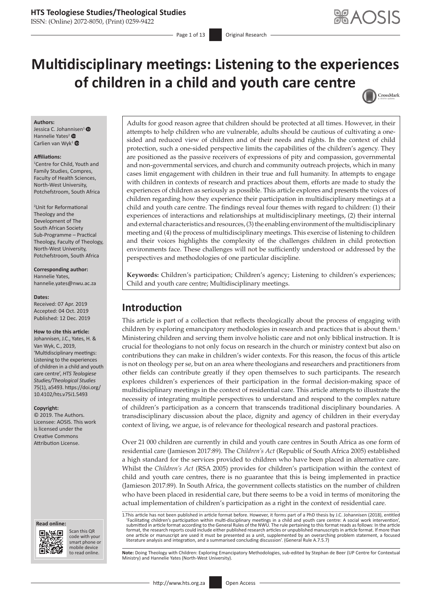## **HTS Teologiese Studies/Theological Studies**

ISSN: (Online) 2072-8050, (Print) 0259-9422

- Page 1 of 13 **Original Research** 

# **Multidisciplinary meetings: Listening to the experiences of children in a child and youth care centre** CrossMark

#### **Authors:**

Jessica C. Johannisen<sup>[1](https://orcid.org/0000-0002-6137-1986)</sup> Hannelie Yates<sup>[2](https://orcid.org/0000-0003-0736-7924)</sup> Carlien van Wyk<sup>[1](https://orcid.org/0000-0003-2825-7863)</sup>

#### **Affiliations:**

1 Centre for Child, Youth and Family Studies, Compres, Faculty of Health Sciences, North-West University, Potchefstroom, South Africa

2 Unit for Reformational Theology and the Development of The South African Society Sub-Programme – Practical Theology, Faculty of Theology, North-West University, Potchefstroom, South Africa

**Corresponding author:** Hannelie Yates, [hannelie.yates@nwu.ac.za](mailto:hannelie.yates@nwu.ac.za)

#### **Dates:**

Received: 07 Apr. 2019 Accepted: 04 Oct. 2019 Published: 12 Dec. 2019

#### **How to cite this article:**

Johannisen, J.C., Yates, H. & Van Wyk, C., 2019, 'Multidisciplinary meetings: Listening to the experiences of children in a child and youth care centre', *HTS Teologiese Studies/Theological Studies* 75(1), a5493. [https://doi.org/](https://doi.org/10.4102/hts.v75i1.5493) [10.4102/hts.v75i1.5493](https://doi.org/10.4102/hts.v75i1.5493)

#### **Copyright:**

© 2019. The Authors. Licensee: AOSIS. This work is licensed under the Creative Commons Attribution License.

#### **Read online: Read online:**



Scan this QR code with your Scan this QR<br>code with your<br>smart phone or<br>mobile device mobile device to read online.

Adults for good reason agree that children should be protected at all times. However, in their attempts to help children who are vulnerable, adults should be cautious of cultivating a onesided and reduced view of children and of their needs and rights. In the context of child protection, such a one-sided perspective limits the capabilities of the children's agency. They are positioned as the passive receivers of expressions of pity and compassion, governmental and non-governmental services, and church and community outreach projects, which in many cases limit engagement with children in their true and full humanity. In attempts to engage with children in contexts of research and practices about them, efforts are made to study the experiences of children as seriously as possible. This article explores and presents the voices of children regarding how they experience their participation in multidisciplinary meetings at a child and youth care centre. The findings reveal four themes with regard to children: (1) their experiences of interactions and relationships at multidisciplinary meetings, (2) their internal and external characteristics and resources, (3) the enabling environment of the multidisciplinary meeting and (4) the process of multidisciplinary meetings. This exercise of listening to children and their voices highlights the complexity of the challenges children in child protection environments face. These challenges will not be sufficiently understood or addressed by the perspectives and methodologies of one particular discipline.

**Keywords:** Children's participation; Children's agency; Listening to children's experiences; Child and youth care centre; Multidisciplinary meetings.

# **Introduction**

This article is part of a collection that reflects theologically about the process of engaging with children by exploring emancipatory methodologies in research and practices that is about them.<sup>1</sup> Ministering children and serving them involve holistic care and not only biblical instruction. It is crucial for theologians to not only focus on research in the church or ministry context but also on contributions they can make in children's wider contexts. For this reason, the focus of this article is not on theology per se, but on an area where theologians and researchers and practitioners from other fields can contribute greatly if they open themselves to such participants. The research explores children's experiences of their participation in the formal decision-making space of multidisciplinary meetings in the context of residential care. This article attempts to illustrate the necessity of integrating multiple perspectives to understand and respond to the complex nature of children's participation as a concern that transcends traditional disciplinary boundaries. A transdisciplinary discussion about the place, dignity and agency of children in their everyday context of living, we argue, is of relevance for theological research and pastoral practices.

Over 21 000 children are currently in child and youth care centres in South Africa as one form of residential care (Jamieson 2017:89). The *Children's Act* (Republic of South Africa 2005) established a high standard for the services provided to children who have been placed in alternative care. Whilst the *Children's Act* (RSA 2005) provides for children's participation within the context of child and youth care centres, there is no guarantee that this is being implemented in practice (Jamieson 2017:89). In South Africa, the government collects statistics on the number of children who have been placed in residential care, but there seems to be a void in terms of monitoring the actual implementation of children's participation as a right in the context of residential care.

1.This article has not been published in article format before. However, it forms part of a PhD thesis by J.C. Johannisen (2018), entitled 'Facilitating children's participation within multi-disciplinary meetings in a child and youth care centre: A social work intervention',<br>submitted in article format according to the General Rules of the NWU. The rule perta one article or manuscript are used it must be presented as a unit, supplemented by an overarching problem statement, a focused<br>literature analysis and integration, and a summarised concluding discussion'. (General Rule A.7

Note: Doing Theology with Children: Exploring Emancipatory Methodologies, sub-edited by Stephan de Beer (UP Centre for Contextual Ministry) and Hannelie Yates (North-West University).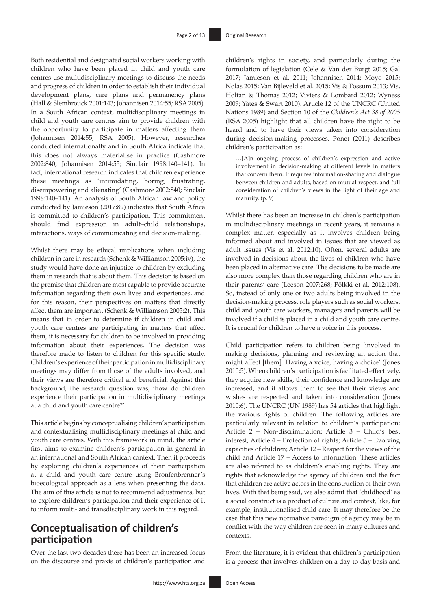Both residential and designated social workers working with children who have been placed in child and youth care centres use multidisciplinary meetings to discuss the needs and progress of children in order to establish their individual development plans, care plans and permanency plans (Hall & Slembrouck 2001:143; Johannisen 2014:55; RSA 2005). In a South African context, multidisciplinary meetings in child and youth care centres aim to provide children with the opportunity to participate in matters affecting them (Johannisen 2014:55; RSA 2005). However, researches conducted internationally and in South Africa indicate that this does not always materialise in practice (Cashmore 2002:840; Johannisen 2014:55; Sinclair 1998:140–141). In fact, international research indicates that children experience these meetings as 'intimidating, boring, frustrating, disempowering and alienating' (Cashmore 2002:840; Sinclair 1998:140–141). An analysis of South African law and policy conducted by Jamieson (2017:89) indicates that South Africa is committed to children's participation. This commitment should find expression in adult–child relationships, interactions, ways of communicating and decision-making.

Whilst there may be ethical implications when including children in care in research (Schenk & Williamson 2005:iv), the study would have done an injustice to children by excluding them in research that is about them. This decision is based on the premise that children are most capable to provide accurate information regarding their own lives and experiences, and for this reason, their perspectives on matters that directly affect them are important (Schenk & Williamson 2005:2). This means that in order to determine if children in child and youth care centres are participating in matters that affect them, it is necessary for children to be involved in providing information about their experiences. The decision was therefore made to listen to children for this specific study. Children's experience of their participation in multidisciplinary meetings may differ from those of the adults involved, and their views are therefore critical and beneficial. Against this background, the research question was, 'how do children experience their participation in multidisciplinary meetings at a child and youth care centre?'

This article begins by conceptualising children's participation and contextualising multidisciplinary meetings at child and youth care centres. With this framework in mind, the article first aims to examine children's participation in general in an international and South African context. Then it proceeds by exploring children's experiences of their participation at a child and youth care centre using Bronfenbrenner's bioecological approach as a lens when presenting the data. The aim of this article is not to recommend adjustments, but to explore children's participation and their experience of it to inform multi- and transdisciplinary work in this regard.

# **Conceptualisation of children's participation**

Over the last two decades there has been an increased focus on the discourse and praxis of children's participation and children's rights in society, and particularly during the formulation of legislation (Cele & Van der Burgt 2015; Gal 2017; Jamieson et al. 2011; Johannisen 2014; Moyo 2015; Nolas 2015; Van Bijleveld et al. 2015; Vis & Fossum 2013; Vis, Holtan & Thomas 2012; Viviers & Lombard 2012; Wyness 2009; Yates & Swart 2010). Article 12 of the UNCRC (United Nations 1989) and Section 10 of the *Children's Act 38 of 2005* (RSA 2005) highlight that all children have the right to be heard and to have their views taken into consideration during decision-making processes. Ponet (2011) describes children's participation as:

…[A]n ongoing process of children's expression and active involvement in decision-making at different levels in matters that concern them. It requires information-sharing and dialogue between children and adults, based on mutual respect, and full consideration of children's views in the light of their age and maturity. (p. 9)

Whilst there has been an increase in children's participation in multidisciplinary meetings in recent years, it remains a complex matter, especially as it involves children being informed about and involved in issues that are viewed as adult issues (Vis et al. 2012:10). Often, several adults are involved in decisions about the lives of children who have been placed in alternative care. The decisions to be made are also more complex than those regarding children who are in their parents' care (Leeson 2007:268; Pölkki et al. 2012:108). So, instead of only one or two adults being involved in the decision-making process, role players such as social workers, child and youth care workers, managers and parents will be involved if a child is placed in a child and youth care centre. It is crucial for children to have a voice in this process.

Child participation refers to children being 'involved in making decisions, planning and reviewing an action that might affect [them]. Having a voice, having a choice' (Jones 2010:5). When children's participation is facilitated effectively, they acquire new skills, their confidence and knowledge are increased, and it allows them to see that their views and wishes are respected and taken into consideration (Jones 2010:6). The UNCRC (UN 1989) has 54 articles that highlight the various rights of children. The following articles are particularly relevant in relation to children's participation: Article 2 – Non-discrimination; Article 3 – Child's best interest; Article 4 – Protection of rights; Article 5 – Evolving capacities of children; Article 12 – Respect for the views of the child and Article 17 – Access to information. These articles are also referred to as children's enabling rights. They are rights that acknowledge the agency of children and the fact that children are active actors in the construction of their own lives. With that being said, we also admit that 'childhood' as a social construct is a product of culture and context, like, for example, institutionalised child care. It may therefore be the case that this new normative paradigm of agency may be in conflict with the way children are seen in many cultures and contexts.

From the literature, it is evident that children's participation is a process that involves children on a day-to-day basis and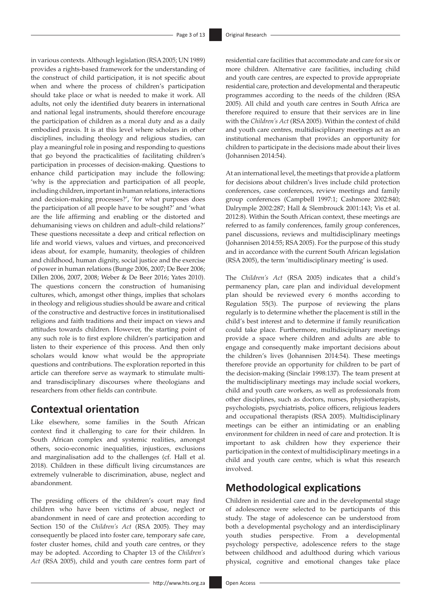in various contexts. Although legislation (RSA 2005; UN 1989) provides a rights-based framework for the understanding of the construct of child participation, it is not specific about when and where the process of children's participation should take place or what is needed to make it work. All adults, not only the identified duty bearers in international and national legal instruments, should therefore encourage the participation of children as a moral duty and as a daily embodied praxis. It is at this level where scholars in other disciplines, including theology and religious studies, can play a meaningful role in posing and responding to questions that go beyond the practicalities of facilitating children's participation in processes of decision-making. Questions to enhance child participation may include the following: 'why is the appreciation and participation of all people, including children, important in human relations, interactions and decision-making processes?', 'for what purposes does the participation of all people have to be sought?' and 'what are the life affirming and enabling or the distorted and dehumanising views on children and adult–child relations?' These questions necessitate a deep and critical reflection on life and world views, values and virtues, and preconceived ideas about, for example, humanity, theologies of children and childhood, human dignity, social justice and the exercise of power in human relations (Bunge 2006, 2007; De Beer 2006; Dillen 2006, 2007, 2008; Weber & De Beer 2016; Yates 2010). The questions concern the construction of humanising cultures, which, amongst other things, implies that scholars in theology and religious studies should be aware and critical of the constructive and destructive forces in institutionalised religions and faith traditions and their impact on views and attitudes towards children. However, the starting point of any such role is to first explore children's participation and listen to their experience of this process. And then only scholars would know what would be the appropriate questions and contributions. The exploration reported in this article can therefore serve as waymark to stimulate multiand transdisciplinary discourses where theologians and researchers from other fields can contribute.

## **Contextual orientation**

Like elsewhere, some families in the South African context find it challenging to care for their children. In South African complex and systemic realities, amongst others, socio-economic inequalities, injustices, exclusions and marginalisation add to the challenges (cf. Hall et al. 2018). Children in these difficult living circumstances are extremely vulnerable to discrimination, abuse, neglect and abandonment.

The presiding officers of the children's court may find children who have been victims of abuse, neglect or abandonment in need of care and protection according to Section 150 of the *Children's Act* (RSA 2005). They may consequently be placed into foster care, temporary safe care, foster cluster homes, child and youth care centres, or they may be adopted. According to Chapter 13 of the *Children's Act* (RSA 2005), child and youth care centres form part of residential care facilities that accommodate and care for six or more children. Alternative care facilities, including child and youth care centres, are expected to provide appropriate residential care, protection and developmental and therapeutic programmes according to the needs of the children (RSA 2005). All child and youth care centres in South Africa are therefore required to ensure that their services are in line with the *Children's Act* (RSA 2005). Within the context of child and youth care centres, multidisciplinary meetings act as an institutional mechanism that provides an opportunity for children to participate in the decisions made about their lives (Johannisen 2014:54).

At an international level, the meetings that provide a platform for decisions about children's lives include child protection conferences, case conferences, review meetings and family group conferences (Campbell 1997:1; Cashmore 2002:840; Dalrymple 2002:287; Hall & Slembrouck 2001:143; Vis et al. 2012:8). Within the South African context, these meetings are referred to as family conferences, family group conferences, panel discussions, reviews and multidisciplinary meetings (Johannisen 2014:55; RSA 2005). For the purpose of this study and in accordance with the current South African legislation (RSA 2005), the term 'multidisciplinary meeting' is used.

The *Children's Act* (RSA 2005) indicates that a child's permanency plan, care plan and individual development plan should be reviewed every 6 months according to Regulation 55(3). The purpose of reviewing the plans regularly is to determine whether the placement is still in the child's best interest and to determine if family reunification could take place. Furthermore, multidisciplinary meetings provide a space where children and adults are able to engage and consequently make important decisions about the children's lives (Johannisen 2014:54). These meetings therefore provide an opportunity for children to be part of the decision-making (Sinclair 1998:137). The team present at the multidisciplinary meetings may include social workers, child and youth care workers, as well as professionals from other disciplines, such as doctors, nurses, physiotherapists, psychologists, psychiatrists, police officers, religious leaders and occupational therapists (RSA 2005). Multidisciplinary meetings can be either an intimidating or an enabling environment for children in need of care and protection. It is important to ask children how they experience their participation in the context of multidisciplinary meetings in a child and youth care centre, which is what this research involved.

# **Methodological explications**

Children in residential care and in the developmental stage of adolescence were selected to be participants of this study. The stage of adolescence can be understood from both a developmental psychology and an interdisciplinary youth studies perspective. From a developmental psychology perspective, adolescence refers to the stage between childhood and adulthood during which various physical, cognitive and emotional changes take place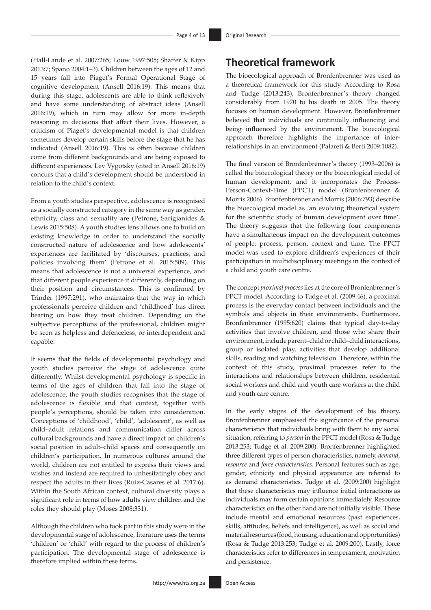(Hall-Lande et al. 2007:265; Louw 1997:505; Shaffer & Kipp 2013:7; Spano 2004:1–3). Children between the ages of 12 and 15 years fall into Piaget's Formal Operational Stage of cognitive development (Ansell 2016:19). This means that during this stage, adolescents are able to think reflexively and have some understanding of abstract ideas (Ansell 2016:19), which in turn may allow for more in-depth reasoning in decisions that affect their lives. However, a criticism of Piaget's developmental model is that children sometimes develop certain skills before the stage that he has indicated (Ansell 2016:19). This is often because children come from different backgrounds and are being exposed to different experiences. Lev Vygotsky (cited in Ansell 2016:19) concurs that a child's development should be understood in relation to the child's context.

From a youth studies perspective, adolescence is recognised as a socially constructed category in the same way as gender, ethnicity, class and sexuality are (Petrone, Sarigianides & Lewis 2015:508). A youth studies lens allows one to build on existing knowledge in order to understand the socially constructed nature of adolescence and how adolescents' experiences are facilitated by 'discourses, practices, and policies involving them' (Petrone et al. 2015:509). This means that adolescence is not a universal experience, and that different people experience it differently, depending on their position and circumstances. This is confirmed by Trinder (1997:291), who maintains that the way in which professionals perceive children and 'childhood' has direct bearing on how they treat children. Depending on the subjective perceptions of the professional, children might be seen as helpless and defenceless, or interdependent and capable.

It seems that the fields of developmental psychology and youth studies perceive the stage of adolescence quite differently. Whilst developmental psychology is specific in terms of the ages of children that fall into the stage of adolescence, the youth studies recognises that the stage of adolescence is flexible and that context, together with people's perceptions, should be taken into consideration. Conceptions of 'childhood', 'child', 'adolescent', as well as child–adult relations and communication differ across cultural backgrounds and have a direct impact on children's social position in adult–child spaces and consequently on children's participation. In numerous cultures around the world, children are not entitled to express their views and wishes and instead are required to unhesitatingly obey and respect the adults in their lives (Ruiz-Casares et al. 2017:6). Within the South African context, cultural diversity plays a significant role in terms of how adults view children and the roles they should play (Moses 2008:331).

Although the children who took part in this study were in the developmental stage of adolescence, literature uses the terms 'children' or 'child' with regard to the process of children's participation. The developmental stage of adolescence is therefore implied within these terms.

# **Theoretical framework**

The bioecological approach of Bronfenbrenner was used as a theoretical framework for this study. According to Rosa and Tudge (2013:243), Bronfenbrenner's theory changed considerably from 1970 to his death in 2005. The theory focuses on human development. However, Bronfenbrenner believed that individuals are continually influencing and being influenced by the environment. The bioecological approach therefore highlights the importance of interrelationships in an environment (Palareti & Berti 2009:1082).

The final version of Bronfenbrenner's theory (1993–2006) is called the bioecological theory or the bioecological model of human development, and it incorporates the Process-Person-Context-Time (PPCT) model (Bronfenbrenner & Morris 2006). Bronfenbrenner and Morris (2006:793) describe the bioecological model as 'an evolving theoretical system for the scientific study of human development over time'. The theory suggests that the following four components have a simultaneous impact on the development outcomes of people: process, person, context and time. The PPCT model was used to explore children's experiences of their participation in multidisciplinary meetings in the context of a child and youth care centre.

The concept *proximal process* lies at the core of Bronfenbrenner's PPCT model. According to Tudge et al. (2009:46), a proximal process is the everyday contact between individuals and the symbols and objects in their environments. Furthermore, Bronfenbrenner (1995:620) claims that typical day-to-day activities that involve children, and those who share their environment, include parent–child or child–child interactions, group or isolated play, activities that develop additional skills, reading and watching television. Therefore, within the context of this study, proximal processes refer to the interactions and relationships between children, residential social workers and child and youth care workers at the child and youth care centre.

In the early stages of the development of his theory, Bronfenbrenner emphasised the significance of the personal characteristics that individuals bring with them to any social situation, referring to *person* in the PPCT model (Rosa & Tudge 2013:253; Tudge et al. 2009:200). Bronfenbrenner highlighted three different types of person characteristics, namely, *demand*, *resource* and *force characteristics*. Personal features such as age, gender, ethnicity and physical appearance are referred to as demand characteristics. Tudge et al. (2009:200) highlight that these characteristics may influence initial interactions as individuals may form certain opinions immediately. Resource characteristics on the other hand are not initially visible. These include mental and emotional resources (past experiences, skills, attitudes, beliefs and intelligence), as well as social and material resources (food, housing, education and opportunities) (Rosa & Tudge 2013:253; Tudge et al. 2009:200). Lastly, force characteristics refer to differences in temperament, motivation and persistence.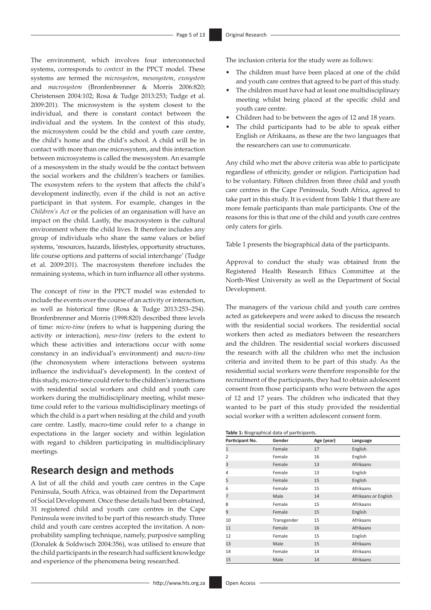The environment, which involves four interconnected systems, corresponds to *context* in the PPCT model. These systems are termed the *microsystem*, *mesosystem*, *exosystem*  and *macrosystem* (Bronfenbrenner & Morris 2006:820; Christensen 2004:102; Rosa & Tudge 2013:253; Tudge et al. 2009:201). The microsystem is the system closest to the individual, and there is constant contact between the individual and the system. In the context of this study, the microsystem could be the child and youth care centre, the child's home and the child's school. A child will be in contact with more than one microsystem, and this interaction between microsystems is called the mesosystem. An example of a mesosystem in the study would be the contact between the social workers and the children's teachers or families. The exosystem refers to the system that affects the child's development indirectly, even if the child is not an active participant in that system. For example, changes in the *Children's Act* or the policies of an organisation will have an impact on the child. Lastly, the macrosystem is the cultural environment where the child lives. It therefore includes any group of individuals who share the same values or belief systems, 'resources, hazards, lifestyles, opportunity structures, life course options and patterns of social interchange' (Tudge et al. 2009:201). The macrosystem therefore includes the remaining systems, which in turn influence all other systems.

The concept of *time* in the PPCT model was extended to include the events over the course of an activity or interaction, as well as historical time (Rosa & Tudge 2013:253–254). Bronfenbrenner and Morris (1998:820) described three levels of time: *micro-time* (refers to what is happening during the activity or interaction), *meso-time* (refers to the extent to which these activities and interactions occur with some constancy in an individual's environment) and *macro-time*  (the chronosystem where interactions between systems influence the individual's development). In the context of this study, micro-time could refer to the children's interactions with residential social workers and child and youth care workers during the multidisciplinary meeting, whilst mesotime could refer to the various multidisciplinary meetings of which the child is a part when residing at the child and youth care centre. Lastly, macro-time could refer to a change in expectations in the larger society and within legislation with regard to children participating in multidisciplinary meetings.

# **Research design and methods**

A list of all the child and youth care centres in the Cape Peninsula, South Africa, was obtained from the Department of Social Development. Once these details had been obtained, 31 registered child and youth care centres in the Cape Peninsula were invited to be part of this research study. Three child and youth care centres accepted the invitation. A nonprobability sampling technique, namely, purposive sampling (Donalek & Soldwisch 2004:356), was utilised to ensure that the child participants in the research had sufficient knowledge and experience of the phenomena being researched.

The inclusion criteria for the study were as follows:

- The children must have been placed at one of the child and youth care centres that agreed to be part of this study.
- The children must have had at least one multidisciplinary meeting whilst being placed at the specific child and youth care centre.
- Children had to be between the ages of 12 and 18 years.
- The child participants had to be able to speak either English or Afrikaans, as these are the two languages that the researchers can use to communicate.

Any child who met the above criteria was able to participate regardless of ethnicity, gender or religion. Participation had to be voluntary. Fifteen children from three child and youth care centres in the Cape Peninsula, South Africa, agreed to take part in this study. It is evident from Table 1 that there are more female participants than male participants. One of the reasons for this is that one of the child and youth care centres only caters for girls.

Table 1 presents the biographical data of the participants.

Approval to conduct the study was obtained from the Registered Health Research Ethics Committee at the North-West University as well as the Department of Social Development.

The managers of the various child and youth care centres acted as gatekeepers and were asked to discuss the research with the residential social workers. The residential social workers then acted as mediators between the researchers and the children. The residential social workers discussed the research with all the children who met the inclusion criteria and invited them to be part of this study. As the residential social workers were therefore responsible for the recruitment of the participants, they had to obtain adolescent consent from those participants who were between the ages of 12 and 17 years. The children who indicated that they wanted to be part of this study provided the residential social worker with a written adolescent consent form.

**Table 1:** Biographical data of participants.

| Participant No. | Gender      | Age (year) | Language             |
|-----------------|-------------|------------|----------------------|
| $\mathbf{1}$    | Female      | 17         | English              |
| 2               | Female      | 16         | English              |
| 3               | Female      | 13         | Afrikaans            |
| 4               | Female      | 13         | English              |
| 5               | Female      | 15         | English              |
| 6               | Female      | 15         | Afrikaans            |
| 7               | Male        | 14         | Afrikaans or English |
| 8               | Female      | 15         | Afrikaans            |
| 9               | Female      | 15         | English              |
| 10              | Transgender | 15         | Afrikaans            |
| 11              | Female      | 16         | Afrikaans            |
| 12              | Female      | 15         | English              |
| 13              | Male        | 15         | Afrikaans            |
| 14              | Female      | 14         | Afrikaans            |
| 15              | Male        | 14         | Afrikaans            |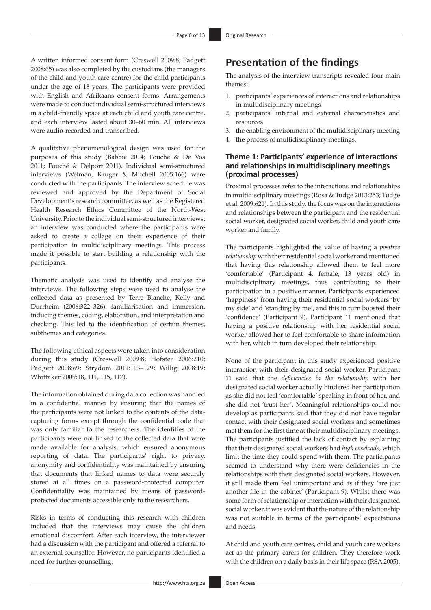A written informed consent form (Creswell 2009:8; Padgett 2008:65) was also completed by the custodians (the managers of the child and youth care centre) for the child participants under the age of 18 years. The participants were provided with English and Afrikaans consent forms. Arrangements were made to conduct individual semi-structured interviews in a child-friendly space at each child and youth care centre, and each interview lasted about 30–60 min. All interviews were audio-recorded and transcribed.

A qualitative phenomenological design was used for the purposes of this study (Babbie 2014; Fouché & De Vos 2011; Fouché & Delport 2011). Individual semi-structured interviews (Welman, Kruger & Mitchell 2005:166) were conducted with the participants. The interview schedule was reviewed and approved by the Department of Social Development's research committee, as well as the Registered Health Research Ethics Committee of the North-West University. Prior to the individual semi-structured interviews, an interview was conducted where the participants were asked to create a collage on their experience of their participation in multidisciplinary meetings. This process made it possible to start building a relationship with the participants.

Thematic analysis was used to identify and analyse the interviews. The following steps were used to analyse the collected data as presented by Terre Blanche, Kelly and Durrheim (2006:322–326): familiarisation and immersion, inducing themes, coding, elaboration, and interpretation and checking. This led to the identification of certain themes, subthemes and categories.

The following ethical aspects were taken into consideration during this study (Creswell 2009:8; Hofstee 2006:210; Padgett 2008:69; Strydom 2011:113–129; Willig 2008:19; Whittaker 2009:18, 111, 115, 117).

The information obtained during data collection was handled in a confidential manner by ensuring that the names of the participants were not linked to the contents of the datacapturing forms except through the confidential code that was only familiar to the researchers. The identities of the participants were not linked to the collected data that were made available for analysis, which ensured anonymous reporting of data. The participants' right to privacy, anonymity and confidentiality was maintained by ensuring that documents that linked names to data were securely stored at all times on a password-protected computer. Confidentiality was maintained by means of passwordprotected documents accessible only to the researchers.

Risks in terms of conducting this research with children included that the interviews may cause the children emotional discomfort. After each interview, the interviewer had a discussion with the participant and offered a referral to an external counsellor. However, no participants identified a need for further counselling.

# **Presentation of the findings**

The analysis of the interview transcripts revealed four main themes:

- 1. participants' experiences of interactions and relationships in multidisciplinary meetings
- 2. participants' internal and external characteristics and resources
- 3. the enabling environment of the multidisciplinary meeting
- 4. the process of multidisciplinary meetings.

### **Theme 1: Participants' experience of interactions and relationships in multidisciplinary meetings (proximal processes)**

Proximal processes refer to the interactions and relationships in multidisciplinary meetings (Rosa & Tudge 2013:253; Tudge et al. 2009:621). In this study, the focus was on the interactions and relationships between the participant and the residential social worker, designated social worker, child and youth care worker and family.

The participants highlighted the value of having a *positive relationship* with their residential social worker and mentioned that having this relationship allowed them to feel more 'comfortable' (Participant 4, female, 13 years old) in multidisciplinary meetings, thus contributing to their participation in a positive manner. Participants experienced 'happiness' from having their residential social workers 'by my side' and 'standing by me', and this in turn boosted their 'confidence' (Participant 9). Participant 11 mentioned that having a positive relationship with her residential social worker allowed her to feel comfortable to share information with her, which in turn developed their relationship.

None of the participant in this study experienced positive interaction with their designated social worker. Participant 11 said that the *deficiencies in the relationship* with her designated social worker actually hindered her participation as she did not feel 'comfortable' speaking in front of her, and she did not 'trust her'. Meaningful relationships could not develop as participants said that they did not have regular contact with their designated social workers and sometimes met them for the first time at their multidisciplinary meetings. The participants justified the lack of contact by explaining that their designated social workers had *high caseloads*, which limit the time they could spend with them. The participants seemed to understand why there were deficiencies in the relationships with their designated social workers. However, it still made them feel unimportant and as if they 'are just another file in the cabinet' (Participant 9). Whilst there was some form of relationship or interaction with their designated social worker, it was evident that the nature of the relationship was not suitable in terms of the participants' expectations and needs.

At child and youth care centres, child and youth care workers act as the primary carers for children. They therefore work with the children on a daily basis in their life space (RSA 2005).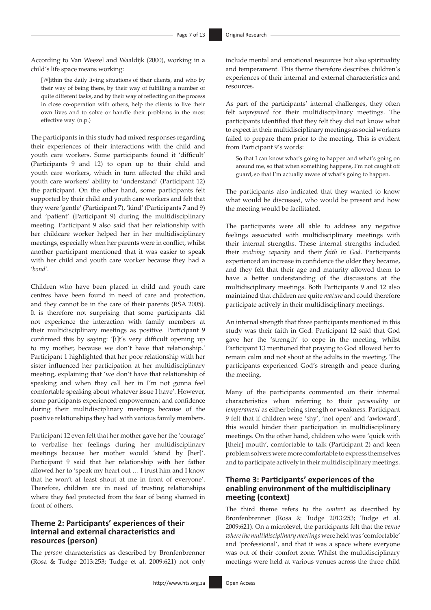According to Van Weezel and Waaldijk (2000), working in a child's life space means working:

[*W*]ithin the daily living situations of their clients, and who by their way of being there, by their way of fulfilling a number of quite different tasks, and by their way of reflecting on the process in close co-operation with others, help the clients to live their own lives and to solve or handle their problems in the most effective way. (n.p.)

The participants in this study had mixed responses regarding their experiences of their interactions with the child and youth care workers. Some participants found it 'difficult' (Participants 9 and 12) to open up to their child and youth care workers, which in turn affected the child and youth care workers' ability to 'understand' (Participant 12) the participant. On the other hand, some participants felt supported by their child and youth care workers and felt that they were 'gentle' (Participant 7), 'kind' (Participants 7 and 9) and 'patient' (Participant 9) during the multidisciplinary meeting. Participant 9 also said that her relationship with her childcare worker helped her in her multidisciplinary meetings, especially when her parents were in conflict, whilst another participant mentioned that it was easier to speak with her child and youth care worker because they had a '*bond*'.

Children who have been placed in child and youth care centres have been found in need of care and protection, and they cannot be in the care of their parents (RSA 2005). It is therefore not surprising that some participants did not experience the interaction with family members at their multidisciplinary meetings as positive. Participant 9 confirmed this by saying: '[i]t's very difficult opening up to my mother, because we don't have that relationship.' Participant 1 highlighted that her poor relationship with her sister influenced her participation at her multidisciplinary meeting, explaining that 'we don't have that relationship of speaking and when they call her in I'm not gonna feel comfortable speaking about whatever issue I have'. However, some participants experienced empowerment and confidence during their multidisciplinary meetings because of the positive relationships they had with various family members.

Participant 12 even felt that her mother gave her the 'courage' to verbalise her feelings during her multidisciplinary meetings because her mother would 'stand by [her]'. Participant 9 said that her relationship with her father allowed her to 'speak my heart out … I trust him and I know that he won't at least shout at me in front of everyone'. Therefore, children are in need of trusting relationships where they feel protected from the fear of being shamed in front of others.

### **Theme 2: Participants' experiences of their internal and external characteristics and resources (person)**

The *person* characteristics as described by Bronfenbrenner (Rosa & Tudge 2013:253; Tudge et al. 2009:621) not only include mental and emotional resources but also spirituality and temperament. This theme therefore describes children's experiences of their internal and external characteristics and resources.

As part of the participants' internal challenges, they often felt *unprepared* for their multidisciplinary meetings. The participants identified that they felt they did not know what to expect in their multidisciplinary meetings as social workers failed to prepare them prior to the meeting. This is evident from Participant 9's words:

So that I can know what's going to happen and what's going on around me, so that when something happens, I'm not caught off guard, so that I'm actually aware of what's going to happen.

The participants also indicated that they wanted to know what would be discussed, who would be present and how the meeting would be facilitated.

The participants were all able to address any negative feelings associated with multidisciplinary meetings with their internal strengths. These internal strengths included their *evolving capacity* and their *faith in God*. Participants experienced an increase in confidence the older they became, and they felt that their age and maturity allowed them to have a better understanding of the discussions at the multidisciplinary meetings. Both Participants 9 and 12 also maintained that children are quite *mature* and could therefore participate actively in their multidisciplinary meetings.

An internal strength that three participants mentioned in this study was their faith in God*.* Participant 12 said that God gave her the 'strength' to cope in the meeting, whilst Participant 13 mentioned that praying to God allowed her to remain calm and not shout at the adults in the meeting. The participants experienced God's strength and peace during the meeting.

Many of the participants commented on their internal characteristics when referring to their *personality* or *temperament* as either being strength or weakness. Participant 9 felt that if children were 'shy', 'not open' and 'awkward', this would hinder their participation in multidisciplinary meetings. On the other hand, children who were 'quick with [their] mouth', comfortable to talk (Participant 2) and keen problem solvers were more comfortable to express themselves and to participate actively in their multidisciplinary meetings.

### **Theme 3: Participants' experiences of the enabling environment of the multidisciplinary meeting (context)**

The third theme refers to the *context* as described by Bronfenbrenner (Rosa & Tudge 2013:253; Tudge et al. 2009:621). On a microlevel, the participants felt that the *venue where the multidisciplinary meetings* were held was 'comfortable' and 'professional', and that it was a space where everyone was out of their comfort zone. Whilst the multidisciplinary meetings were held at various venues across the three child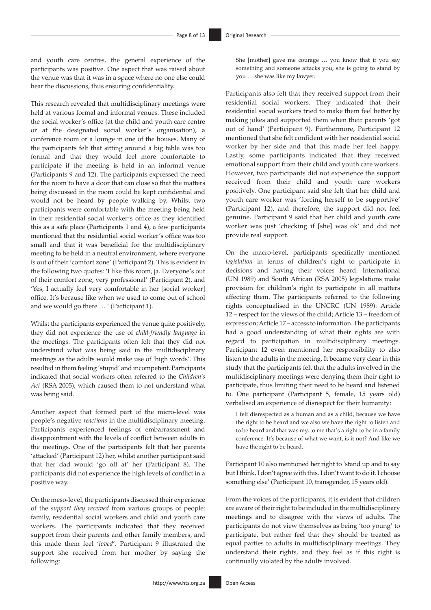and youth care centres, the general experience of the participants was positive. One aspect that was raised about the venue was that it was in a space where no one else could hear the discussions, thus ensuring confidentiality.

This research revealed that multidisciplinary meetings were held at various formal and informal venues. These included the social worker's office (at the child and youth care centre or at the designated social worker's organisation), a conference room or a lounge in one of the houses. Many of the participants felt that sitting around a big table was too formal and that they would feel more comfortable to participate if the meeting is held in an informal venue (Participants 9 and 12). The participants expressed the need for the room to have a door that can close so that the matters being discussed in the room could be kept confidential and would not be heard by people walking by. Whilst two participants were comfortable with the meeting being held in their residential social worker's office as they identified this as a safe place (Participants 1 and 4), a few participants mentioned that the residential social worker's office was too small and that it was beneficial for the multidisciplinary meeting to be held in a neutral environment, where everyone is out of their 'comfort zone' (Participant 2). This is evident in the following two quotes: 'I like this room, ja. Everyone's out of their comfort zone, very professional' (Participant 2), and 'Yes, I actually feel very comfortable in her [social worker] office. It's because like when we used to come out of school and we would go there … ' (Participant 1).

Whilst the participants experienced the venue quite positively, they did not experience the use of *child-friendly language* in the meetings. The participants often felt that they did not understand what was being said in the multidisciplinary meetings as the adults would make use of 'high words'. This resulted in them feeling 'stupid' and incompetent. Participants indicated that social workers often referred to the *Children's Act* (RSA 2005), which caused them to not understand what was being said.

Another aspect that formed part of the micro-level was people's negative *reactions* in the multidisciplinary meeting. Participants experienced feelings of embarrassment and disappointment with the levels of conflict between adults in the meetings. One of the participants felt that her parents 'attacked' (Participant 12) her, whilst another participant said that her dad would 'go off at' her (Participant 8). The participants did not experience the high levels of conflict in a positive way.

On the meso-level, the participants discussed their experience of the *support they received* from various groups of people: family, residential social workers and child and youth care workers. The participants indicated that they received support from their parents and other family members, and this made them feel '*loved*'. Participant 9 illustrated the support she received from her mother by saying the following:

She [mother] gave me courage … you know that if you say something and someone attacks you, she is going to stand by you … she was like my lawyer.

Participants also felt that they received support from their residential social workers. They indicated that their residential social workers tried to make them feel better by making jokes and supported them when their parents 'got out of hand' (Participant 9). Furthermore, Participant 12 mentioned that she felt confident with her residential social worker by her side and that this made her feel happy. Lastly, some participants indicated that they received emotional support from their child and youth care workers. However, two participants did not experience the support received from their child and youth care workers positively. One participant said she felt that her child and youth care worker was 'forcing herself to be supportive' (Participant 12), and therefore, the support did not feel genuine. Participant 9 said that her child and youth care worker was just 'checking if [she] was ok' and did not provide real support.

On the macro-level, participants specifically mentioned *legislation* in terms of children's right to participate in decisions and having their voices heard. International (UN 1989) and South African (RSA 2005) legislations make provision for children's right to participate in all matters affecting them. The participants referred to the following rights conceptualised in the UNCRC (UN 1989): Article 12 – respect for the views of the child; Article 13 – freedom of expression; Article 17 – access to information. The participants had a good understanding of what their rights are with regard to participation in multidisciplinary meetings. Participant 12 even mentioned her responsibility to also listen to the adults in the meeting. It became very clear in this study that the participants felt that the adults involved in the multidisciplinary meetings were denying them their right to participate, thus limiting their need to be heard and listened to. One participant (Participant 5, female, 15 years old) verbalised an experience of disrespect for their humanity:

I felt disrespected as a human and as a child, because we have the right to be heard and we also we have the right to listen and to be heard and that was my, to me that's a right to be in a family conference. It's because of what we want, is it not? And like we have the right to be heard.

Participant 10 also mentioned her right to 'stand up and to say but I think, I don't agree with this. I don't want to do it. I choose something else' (Participant 10, transgender, 15 years old).

From the voices of the participants, it is evident that children are aware of their right to be included in the multidisciplinary meetings and to disagree with the views of adults. The participants do not view themselves as being 'too young' to participate, but rather feel that they should be treated as equal parties to adults in multidisciplinary meetings. They understand their rights, and they feel as if this right is continually violated by the adults involved.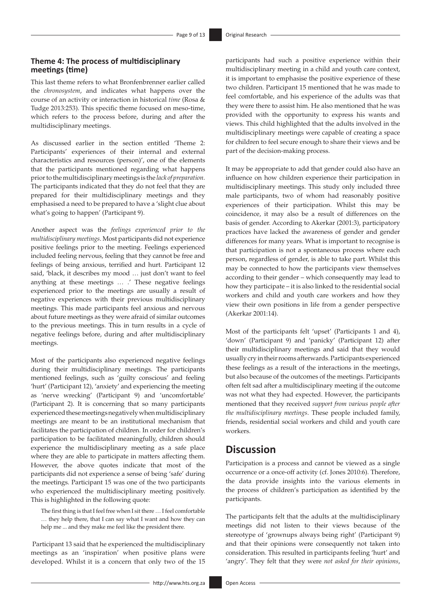### **Theme 4: The process of multidisciplinary meetings (time)**

This last theme refers to what Bronfenbrenner earlier called the *chronosystem*, and indicates what happens over the course of an activity or interaction in historical *time* (Rosa & Tudge 2013:253). This specific theme focused on meso-time, which refers to the process before, during and after the multidisciplinary meetings.

As discussed earlier in the section entitled 'Theme 2: Participants' experiences of their internal and external characteristics and resources (person)', one of the elements that the participants mentioned regarding what happens prior to the multidisciplinary meetings is the *lack of preparation.*  The participants indicated that they do not feel that they are prepared for their multidisciplinary meetings and they emphasised a need to be prepared to have a 'slight clue about what's going to happen' (Participant 9).

Another aspect was the *feelings experienced prior to the multidisciplinary meetings*. Most participants did not experience positive feelings prior to the meeting. Feelings experienced included feeling nervous, feeling that they cannot be free and feelings of being anxious, terrified and hurt. Participant 12 said, 'black, it describes my mood … just don't want to feel anything at these meetings *…* .' These negative feelings experienced prior to the meetings are usually a result of negative experiences with their previous multidisciplinary meetings. This made participants feel anxious and nervous about future meetings as they were afraid of similar outcomes to the previous meetings. This in turn results in a cycle of negative feelings before, during and after multidisciplinary meetings.

Most of the participants also experienced negative feelings during their multidisciplinary meetings. The participants mentioned feelings, such as 'guilty conscious' and feeling 'hurt' (Participant 12), 'anxiety' and experiencing the meeting as 'nerve wrecking' (Participant 9) and 'uncomfortable' (Participant 2). It is concerning that so many participants experienced these meetings negatively when multidisciplinary meetings are meant to be an institutional mechanism that facilitates the participation of children. In order for children's participation to be facilitated meaningfully, children should experience the multidisciplinary meeting as a safe place where they are able to participate in matters affecting them. However, the above quotes indicate that most of the participants did not experience a sense of being 'safe' during the meetings. Participant 15 was one of the two participants who experienced the multidisciplinary meeting positively. This is highlighted in the following quote:

The first thing is that I feel free when I sit there … I feel comfortable … they help there, that I can say what I want and how they can help me ... and they make me feel like the president there*.*

 Participant 13 said that he experienced the multidisciplinary meetings as an 'inspiration' when positive plans were developed. Whilst it is a concern that only two of the 15 participants had such a positive experience within their multidisciplinary meeting in a child and youth care context, it is important to emphasise the positive experience of these two children. Participant 15 mentioned that he was made to feel comfortable, and his experience of the adults was that they were there to assist him. He also mentioned that he was provided with the opportunity to express his wants and views. This child highlighted that the adults involved in the multidisciplinary meetings were capable of creating a space for children to feel secure enough to share their views and be part of the decision-making process.

It may be appropriate to add that gender could also have an influence on how children experience their participation in multidisciplinary meetings. This study only included three male participants, two of whom had reasonably positive experiences of their participation. Whilst this may be coincidence, it may also be a result of differences on the basis of gender. According to Akerkar (2001:3), participatory practices have lacked the awareness of gender and gender differences for many years. What is important to recognise is that participation is not a spontaneous process where each person, regardless of gender, is able to take part. Whilst this may be connected to how the participants view themselves according to their gender – which consequently may lead to how they participate – it is also linked to the residential social workers and child and youth care workers and how they view their own positions in life from a gender perspective (Akerkar 2001:14).

Most of the participants felt 'upset' (Participants 1 and 4), 'down' (Participant 9) and 'panicky' (Participant 12) after their multidisciplinary meetings and said that they would usually cry in their rooms afterwards. Participants experienced these feelings as a result of the interactions in the meetings, but also because of the outcomes of the meetings. Participants often felt sad after a multidisciplinary meeting if the outcome was not what they had expected. However, the participants mentioned that they received *support from various people after the multidisciplinary meetings*. These people included family, friends, residential social workers and child and youth care workers.

## **Discussion**

Participation is a process and cannot be viewed as a single occurrence or a once-off activity (cf. Jones 2010:6). Therefore, the data provide insights into the various elements in the process of children's participation as identified by the participants.

The participants felt that the adults at the multidisciplinary meetings did not listen to their views because of the stereotype of 'grownups always being right' (Participant 9) and that their opinions were consequently not taken into consideration. This resulted in participants feeling 'hurt' and 'angry'. They felt that they were *not asked for their opinions*,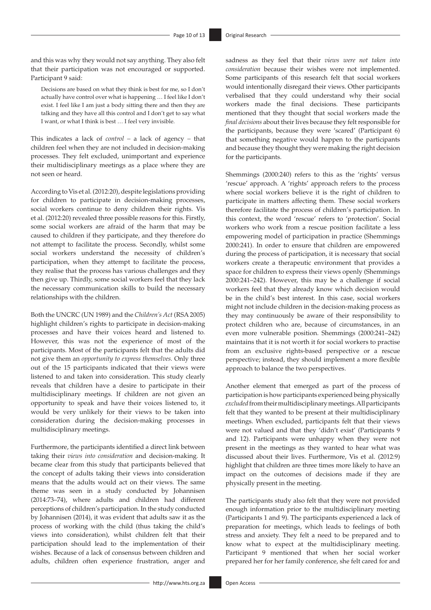and this was why they would not say anything. They also felt that their participation was not encouraged or supported. Participant 9 said:

Decisions are based on what they think is best for me, so I don't actually have control over what is happening … I feel like I don't exist. I feel like I am just a body sitting there and then they are talking and they have all this control and I don't get to say what I want, or what I think is best … I feel very invisible.

This indicates a lack of *control –* a lack of agency *–* that children feel when they are not included in decision-making processes. They felt excluded, unimportant and experience their multidisciplinary meetings as a place where they are not seen or heard.

According to Vis et al.(2012:20), despite legislations providing for children to participate in decision-making processes, social workers continue to deny children their rights. Vis et al. (2012:20) revealed three possible reasons for this. Firstly, some social workers are afraid of the harm that may be caused to children if they participate, and they therefore do not attempt to facilitate the process. Secondly, whilst some social workers understand the necessity of children's participation, when they attempt to facilitate the process, they realise that the process has various challenges and they then give up. Thirdly, some social workers feel that they lack the necessary communication skills to build the necessary relationships with the children.

Both the UNCRC (UN 1989) and the *Children's Act* (RSA 2005) highlight children's rights to participate in decision-making processes and have their voices heard and listened to*.*  However, this was not the experience of most of the participants. Most of the participants felt that the adults did not give them an *opportunity to express themselves.* Only three out of the 15 participants indicated that their views were listened to and taken into consideration. This study clearly reveals that children have a desire to participate in their multidisciplinary meetings. If children are not given an opportunity to speak and have their voices listened to, it would be very unlikely for their views to be taken into consideration during the decision-making processes in multidisciplinary meetings.

Furthermore, the participants identified a direct link between taking their *views into consideration* and decision-making. It became clear from this study that participants believed that the concept of adults taking their views into consideration means that the adults would act on their views. The same theme was seen in a study conducted by Johannisen (2014:73–74), where adults and children had different perceptions of children's participation. In the study conducted by Johannisen (2014), it was evident that adults saw it as the process of working with the child (thus taking the child's views into consideration), whilst children felt that their participation should lead to the implementation of their wishes. Because of a lack of consensus between children and adults, children often experience frustration, anger and

sadness as they feel that their *views were not taken into consideration* because their wishes were not implemented. Some participants of this research felt that social workers would intentionally disregard their views. Other participants verbalised that they could understand why their social workers made the final decisions. These participants mentioned that they thought that social workers made the *final decisions* about their lives because they felt responsible for the participants, because they were 'scared' (Participant 6) that something negative would happen to the participants and because they thought they were making the right decision for the participants.

Shemmings (2000:240) refers to this as the 'rights' versus 'rescue' approach. A 'rights' approach refers to the process where social workers believe it is the right of children to participate in matters affecting them. These social workers therefore facilitate the process of children's participation. In this context, the word 'rescue' refers to 'protection'. Social workers who work from a rescue position facilitate a less empowering model of participation in practice (Shemmings 2000:241). In order to ensure that children are empowered during the process of participation, it is necessary that social workers create a therapeutic environment that provides a space for children to express their views openly (Shemmings 2000:241–242). However, this may be a challenge if social workers feel that they already know which decision would be in the child's best interest. In this case, social workers might not include children in the decision-making process as they may continuously be aware of their responsibility to protect children who are, because of circumstances, in an even more vulnerable position. Shemmings (2000:241–242) maintains that it is not worth it for social workers to practise from an exclusive rights-based perspective or a rescue perspective; instead, they should implement a more flexible approach to balance the two perspectives.

Another element that emerged as part of the process of participation is how participants experienced being physically *excluded* from their multidisciplinary meetings. All participants felt that they wanted to be present at their multidisciplinary meetings. When excluded, participants felt that their views were not valued and that they 'didn't exist' (Participants 9 and 12). Participants were unhappy when they were not present in the meetings as they wanted to hear what was discussed about their lives. Furthermore, Vis et al. (2012:9) highlight that children are three times more likely to have an impact on the outcomes of decisions made if they are physically present in the meeting.

The participants study also felt that they were not provided enough information prior to the multidisciplinary meeting (Participants 1 and 9). The participants experienced a lack of preparation for meetings, which leads to feelings of both stress and anxiety. They felt a need to be prepared and to know what to expect at the multidisciplinary meeting. Participant 9 mentioned that when her social worker prepared her for her family conference, she felt cared for and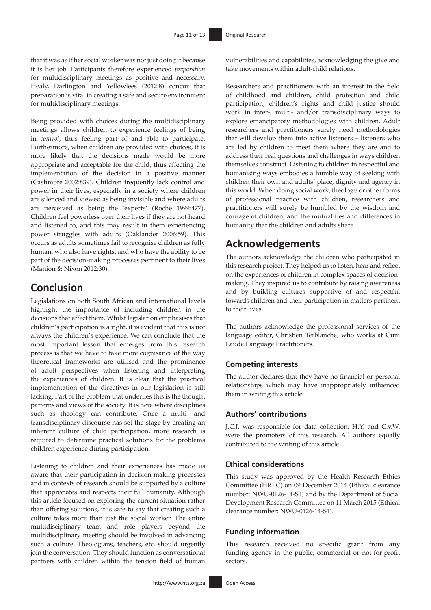that it was as if her social worker was not just doing it because it is her job. Participants therefore experienced *preparation*  for multidisciplinary meetings as positive and necessary. Healy, Darlington and Yellowlees (2012:8) concur that preparation is vital in creating a safe and secure environment for multidisciplinary meetings.

Being provided with choices during the multidisciplinary meetings allows children to experience feelings of being in *control*, thus feeling part of and able to participate. Furthermore, when children are provided with choices, it is more likely that the decisions made would be more appropriate and acceptable for the child, thus affecting the implementation of the decision in a positive manner (Cashmore 2002:839). Children frequently lack control and power in their lives, especially in a society where children are silenced and viewed as being invisible and where adults are perceived as being the 'experts' (Roche 1999:477). Children feel powerless over their lives if they are not heard and listened to, and this may result in them experiencing power struggles with adults (Oaklander 2006:59). This occurs as adults sometimes fail to recognise children as fully human, who also have rights, and who have the ability to be part of the decision-making processes pertinent to their lives (Manion & Nixon 2012:30).

## **Conclusion**

Legislations on both South African and international levels highlight the importance of including children in the decisions that affect them. Whilst legislation emphasises that children's participation is a right, it is evident that this is not always the children's experience. We can conclude that the most important lesson that emerges from this research process is that we have to take more cognisance of the way theoretical frameworks are utilised and the prominence of adult perspectives when listening and interpreting the experiences of children. It is clear that the practical implementation of the directives in our legislation is still lacking. Part of the problem that underlies this is the thought patterns and views of the society. It is here where disciplines such as theology can contribute. Once a multi- and transdisciplinary discourse has set the stage by creating an inherent culture of child participation, more research is required to determine practical solutions for the problems children experience during participation.

Listening to children and their experiences has made us aware that their participation in decision-making processes and in contexts of research should be supported by a culture that appreciates and respects their full humanity. Although this article focused on exploring the current situation rather than offering solutions, it is safe to say that creating such a culture takes more than just the social worker. The entire multidisciplinary team and role players beyond the multidisciplinary meeting should be involved in advancing such a culture. Theologians, teachers, etc. should urgently join the conversation. They should function as conversational partners with children within the tension field of human

vulnerabilities and capabilities, acknowledging the give and take movements within adult-child relations.

Researchers and practitioners with an interest in the field of childhood and children, child protection and child participation, children's rights and child justice should work in inter-, multi- and/or transdisciplinary ways to explore emancipatory methodologies with children. Adult researchers and practitioners surely need methodologies that will develop them into active listeners – listeners who are led by children to meet them where they are and to address their real questions and challenges in ways children themselves construct. Listening to children in respectful and humanising ways embodies a humble way of seeking with children their own and adults' place, dignity and agency in this world. When doing social work, theology or other forms of professional practice with children, researchers and practitioners will surely be humbled by the wisdom and courage of children, and the mutualities and differences in humanity that the children and adults share.

## **Acknowledgements**

The authors acknowledge the children who participated in this research project. They helped us to listen, hear and reflect on the experiences of children in complex spaces of decisionmaking. They inspired us to contribute by raising awareness and by building cultures supportive of and respectful towards children and their participation in matters pertinent to their lives.

The authors acknowledge the professional services of the language editor, Christien Terblanche, who works at Cum Laude Language Practitioners.

### **Competing interests**

The author declares that they have no financial or personal relationships which may have inappropriately influenced them in writing this article.

### **Authors' contributions**

J.C.J. was responsible for data collection. H.Y. and C.v.W. were the promoters of this research. All authors equally contributed to the writing of this article.

### **Ethical considerations**

This study was approved by the Health Research Ethics Committee (HREC) on 09 December 2014 (Ethical clearance number: NWU-0126-14-S1) and by the Department of Social Development Research Committee on 11 March 2015 (Ethical clearance number: NWU-0126-14-S1).

### **Funding information**

This research received no specific grant from any funding agency in the public, commercial or not-for-profit sectors.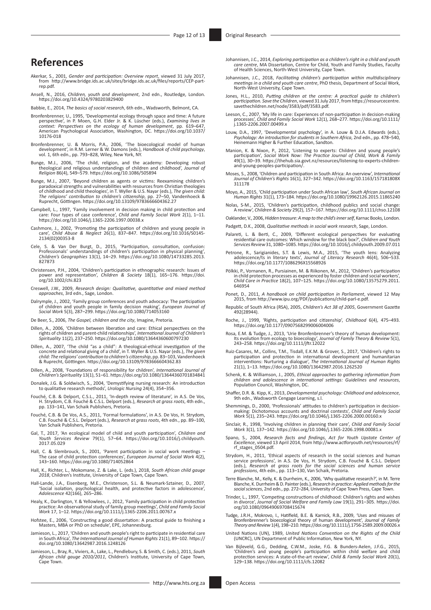## **References**

- Akerkar, S., 2001, *Gender and participation: Overview report*, viewed 31 July 2017, from [http://www.bridge.ids.ac.uk/sites/bridge.ids.ac.uk/files/reports/CEP-part](http://www.bridge.ids.ac.uk/sites/bridge.ids.ac.uk/files/reports/CEP-part-rep.pdf)[rep.pdf](http://www.bridge.ids.ac.uk/sites/bridge.ids.ac.uk/files/reports/CEP-part-rep.pdf).
- Ansell, N., 2016, *Children, youth and development*, 2nd edn., Routledge, London. <https://doi.org/10.4324/9780203829400>
- Babbie, E., 2014, *The basics of social research*, 6th edn., Wadsworth, Belmont, CA.
- Bronfenbrenner, U., 1995, 'Developmental ecology through space and time: A future perspective', in P. Moen, G.H. Elder Jr. & K. Lüscher (eds.), *Examining lives in context: Perspectives on the ecology of human development*, pp. 619–647, American Psychological Association, Washington, DC. [https://doi.org/10.1037/](https://doi.org/10.1037/10176-018) [10176-018](https://doi.org/10.1037/10176-018)
- Bronfenbrenner, U. & Morris, P.A., 2006, 'The bioecological model of human development', in R.M. Lerner & W. Damons (eds.), *Handbook of child psychology*, vol. 1, 6th edn., pp. 793–828, Wiley, New York, NY.
- Bunge, M.J., 2006, 'The child, religion, and the academy: Developing robust theological and religious understandings of children and childhood', *Journal of Religion* 86(4), 549–579.<https://doi.org/10.1086/505894>
- Bunge, M.J., 2007, 'Beyond children as agents or victims: Reexamining children's<br>paradoxical strengths and vulnerabilities with resources from Christian theologies<br>of childhood and child theologies', in T. Wyller & U.S. Na *The religions' contribution to children's citizenship*, pp. 27–50, Vandenhoeck & Ruprecht, Göttingen. <https://doi.org/10.13109/9783666604362.27>
- Campbell, L., 1997, 'Family involvement in decision making in child protection and care: Four types of case conference', *Child and Family Social Work* 2(1), 1–11. <https://doi.org/10.1046/j.1365-2206.1997.00038.x>
- Cashmore, J., 2002, 'Promoting the participation of children and young people in care', *Child Abuse & Neglect* 26(1), 837–847. [https://doi.org/10.1016/S0145-](https://doi.org/10.1016/S0145-2134(02)00353-8) [2134\(02\)00353-8](https://doi.org/10.1016/S0145-2134(02)00353-8)
- Cele, S. & Van Der Burgt, D., 2015, 'Participation, consultation, confusion:<br>Professionals' understandings of children's participation in physical planning',<br>Children's Geographies 13(1), 14–29. https://doi.org/10.1080/147 [827873](https://doi.org/10.1080/14733285.2013.827873)
- Christensen, P.H., 2004, 'Children's participation in ethnographic research: Issues of power and representation', *Children & Society* 18(1), 165–176. [https://doi.](https://doi.org/10.1002/chi.823) [org/10.1002/chi.823](https://doi.org/10.1002/chi.823)
- Creswell, J.W., 2009, *Research design: Qualitative, quantitative and mixed method approaches*, 3rd edn., Sage, London.
- Dalrymple, J., 2002, 'Family group conferences and youth advocacy: The participation of children and youth people in family decision making', *European Journal of Social Work* 5(3), 287–299.<https://doi.org/10.1080/714053160>
- De Beer, S., 2006, *The Gospel, children and the city*, Imagine, Pretoria.
- Dillen, A., 2006, 'Children between liberation and care: Ethical perspectives on the rights of children and parent-child relationships', *International Journal of Children's Spirituality* 11(2), 237–250.<https://doi.org/10.1080/13644360600797230>
- Dillen, A., 2007, 'The child "as a child": A theological-ethical investigation of the concrete and relational giving of a child', in T. Wyller & U.S. Nayar (eds.), *The given child: The religions' contribution to children's citizenship,* pp. 83–103, Vandenhoeck<br>& Ruprecht, Göttingen. <https://doi.org/10.13109/9783666604362.83>
- Dillen, A., 2008, 'Foundations of responsibility for children', *International Journal of Children's Spirituality* 13(1), 51–61.<https://doi.org/10.1080/13644360701834841>
- Donalek, J.G. & Soldwisch, S., 2004, 'Demystifying nursing research: An introduction to qualitative research methods', *Urologic Nursing* 24(4), 354–356.
- Fouché, C.B. & Delport, C.S.L., 2011, 'In-depth review of literature', in A.S. De Vos, H. Strydom, C.B. Fouché & C.S.L. Delport (eds.), *Research at grass roots*, 4th edn., pp. 133–141, Van Schaik Publishers, Pretoria.
- Fouché, C.B. & De Vos, A.S., 2011, 'Formal formulations', in A.S. De Vos, H. Strydom, C.B. Fouché & C.S.L. Delport (eds.), *Research at grass roots*, 4th edn., pp. 89–100, Van Schaik Publishers, Pretoria.
- Gal, T., 2017, 'An ecological model of child and youth participation', *Children and Youth Services Review* 79(1), 57–64. [https://doi.org/10.1016/j.childyouth.](https://doi.org/10.1016/j.childyouth.2017.05.029) [2017.05.029](https://doi.org/10.1016/j.childyouth.2017.05.029)
- Hall, C. & Slembrouck, S., 2001, 'Parent participation in social work meetings –<br>The case of child protection conferences', *European Journal of Social Work* 4(2),<br>143–160. <https://doi.org/10.1080/714052864>
- Hall, K., Richter, L., Mokomane, Z. & Lake, L. (eds.), 2018, *South African child gauge 2018*, Children's Institute, University of Cape Town, Cape Town.
- Hall-Lande, J.A., Eisenberg, M.E., Christenson, S.L. & Neumark-Sztainer, D., 2007, 'Social isolation, psychological health, and protective factors in adolescence', *Adolescence* 42(166), 265–286.
- Healy, K., Darlington, Y. & Yellowlees, J., 2012, 'Family participation in child protection<br>practice: An observational study of family yroup meetings', *Child and Family Social*<br>Work 17, 1–12. https://doi.org/10.1111/j.136
- Hofstee, E., 2006, 'Constructing a good dissertation: A practical guide to finishing a Masters, MBA or PhD on schedule', EPE, Johannesburg.
- Jamieson, L., 2017, 'Children and youth people's right to participate in residential care in South Africa', *The International Journal of Human Rights* 21(1), 89–102. [https://](https://doi.org/10.1080/13642987.2016.1248126) [doi.org/10.1080/13642987.2016.1248126](https://doi.org/10.1080/13642987.2016.1248126)
- Jamieson, L., Bray, R., Viviers, A., Lake, L., Pendlebury, S. & Smith, C. (eds.), 2011, *South African child gauge 2010/2011*, Children's Institute, University of Cape Town, Cape Town.
- Johannisen, J.C., 2014, *Exploring participation as a children's right in a child and youth care centre*, MA Dissertation, Centre for Child, Youth and Family Studies, Faculty of Health Sciences, North-West University, Cape Town.
- Johannisen, J.C., 2018, *Facilitating children's participation within multidisciplinary meetings in a child and youth care centre*, PhD thesis, Department of Social Work, North-West University, Cape Town.
- Jones, H.L., 2010, Putting children at the centre: A practical guide to children's<br>participation. Save the Children, viewed 31 July 2017, from [https://resourcecentre.](https://resourcecentre.savethechildren.net/node/3583/pdf/3583.pdf)<br>[savethechildren.net/node/3583/pdf/3583.pdf](https://resourcecentre.savethechildren.net/node/3583/pdf/3583.pdf).
- Leeson, C., 2007, 'My life in care: Experiences of non-participation in decision-making processes', *Child and Family Social Work* 12(1), 268–277. [https://doi.org/10.1111/](https://doi.org/10.1111/j.1365-2206.2007.00499.x) [j.1365-2206.2007.00499.x](https://doi.org/10.1111/j.1365-2206.2007.00499.x)
- Louw, D.A., 1997, 'Developmental psychology', in A. Louw & D.J.A. Edwards (eds.), *Psychology: An introduction for students in Southern Africa*, 2nd edn., pp. 478–540, Heinemann Higher & Further Education, Sandton.
- Manion, K. & Nixon, P., 2012, 'Listening to experts: Children and young people's<br>participation', Social Work Now: The Practice Journal of Child, Work & Family<br>-49(1), 30-39. https://thehub.sia.govt.nz/resources/listening-t [and-young-peoples-participation/.](https://thehub.sia.govt.nz/resources/listening-to-experts-children-and-young-peoples-participation/)
- Moses, S., 2008, 'Children and participation in South Africa: An overview', *International Journal of Children's Rights* 16(1), 327–342. [https://doi.org/10.1163/157181808X](https://doi.org/10.1163/157181808X311178) [311178](https://doi.org/10.1163/157181808X311178)
- Moyo, A., 2015, 'Child participation under South African law', *South African Journal on Human Rights* 31(1), 173–184.<https://doi.org/10.1080/19962126.2015.11865240>
- Nolas, S-M., 2015, 'Children's participation, childhood publics and social change: A review', *Children & Society* 29(2), 157–167.<https://doi.org/10.1111/chso.12108>
- Oaklander, V., 2006, *Hidden treasure: A map to the child's inner self*, Karnac Books, London.
- Padgett, D.K., 2008, *Qualitative methods in social work research*, Sage, London.
- Palareti, L. & Berti, C., 2009, 'Different ecological perspectives for evaluating<br>residential care outcomes: Which window for the black box?', Children and Youth<br>Services Review 31, 1080-1085.https://doi.org/10.1016/j.chil
- Petrone, R., Sarigianides, S.T. & Lewis, M.A., 2015, 'The youth lens: Analyzing adolescence/ts in literary Research 46(4), 506–533.<br><https://doi.org/10.1177/1086296X15568926><br>https://doi.org/10.1177/1086296X15568926
- Pölkki, P., Vornanen, R., Pursiainen, M. & Riikonen, M., 2012, 'Children's participation<br>in child protection processes as experienced by foster children and social workers',<br>Child Care in Practice 18(2), 107–125. https://d [646954](https://doi.org/10.1080/13575279.2011.646954)
- Ponet, D., 2011, *A handbook on child participation in Parliament*, viewed 12 May 2015, from <http://www.ipu.org/PDF/publications/child-parl-e.pdf>.
- Republic of South Africa (RSA), 2005, *Children's Act 38 of 2005*, Government Gazette 492(28944).
- Roche, J., 1999, 'Rights, participation and citizenship', *Childhood* 6(4), 475–493. <https://doi.org/10.1177/0907568299006004006>
- Rosa, E.M. & Tudge, J., 2013, 'Urie Bronfenbrenner's theory of human development: Its evolution from ecology to bioecology', *Journal of Family Theory & Review* 5(1), 243–258.<https://doi.org/10.1111/jftr.12022>
- Ruiz-Casares, M., Collins, T.M., Tisdall, E.K.M. & Grover, S., 2017, 'Children's rights to participation and protection in international development and humanitarian<br>interventions: Nurturing a dialogue', *The International Journal of Human Rights*<br>21(1), 1–13. <https://doi.org/10.1080/13642987.2016.1262520>
- Schenk, K. & Williamson, J., 2005, *Ethical approaches to gathering information from children and adolescence in international settings: Guidelines and resources*, Population Council, Washington, DC.
- Shaffer, D.R. &. Kipp, K., 2013, *Developmental psychology: Childhood and adolescence*, 9th edn., Wadsworth Cengage Learning, s.l.
- Shemmings, D., 2000, 'Professionals' attitudes to children's participation in decision-making: Dichotomous accounts and doctrinal contests', *Child and Family Social Work* 5(1), 235–243. <https://doi.org/10.1046/j.1365-2206.2000.00160.x>
- Sinclair, R., 1998, 'Involving children in planning their care', *Child and Family Social Work* 3(1), 137–142. <https://doi.org/10.1046/j.1365-2206.1998.00081.x>
- Spano, S., 2004, *Research facts and findings*, *Act for Youth Upstate Center of Excellence*, viewed 13 April 2014, from [http://www.actforyouth.net/resources/rf/](http://www.actforyouth.net/resources/rf/rf_stages_0504.pdf) [rf\\_stages\\_0504.pdf](http://www.actforyouth.net/resources/rf/rf_stages_0504.pdf).
- Strydom, H., 2011, 'Ethical aspects of research in the social sciences and human<br>service professions', in A.S. De Vos, H. Strydom, C.B. Fouché & C.S.L. Delport<br>(eds.), Research at grass roots for the social sciences and hu
- Terre Blanche, M., Kelly, K. & Durrheim, K., 2006, 'Why qualitative research?', in M. Terre<br>Blanche, K. Durrheim & D. Painter (eds.), Research in practice: Applied methods for the<br>social sciences, 2nd edn., pp. 272–284, Un
- Trinder, L., 1997, 'Competing constructions of childhood: Children's rights and wishes in divorce', *Journal of Social Welfare and Family Law* 19(1), 291–305. [https://doi.](https://doi.org/10.1080/09649069708415674) [org/10.1080/09649069708415674](https://doi.org/10.1080/09649069708415674)
- Tudge, J.R.H., Mokrovo, I., Hatifield, B.E. & Karnick, R.B., 2009, 'Uses and misuses of<br>Bronfenbrenner's bioecological theory of human development', Journal of Family<br>Theory and Review 1(4), 198–210. https://doi.org/10.111
- United Nations (UN), 1989, *United Nations Convention on the Rights of the Child* (UNCRC), UN Department of Public Information, New York, NY.
- Van Bijleveld, G.G., Dedding, C.W.M., Joske, F.G. & Bunders-Aelen, J.F.G., 2015, 'Children's and young people's participation within child welfare and child protection services: A state-of-the-art review', *Child & Family Social Work* 20(1), 129–138.<https://doi.org/10.1111/cfs.12082>